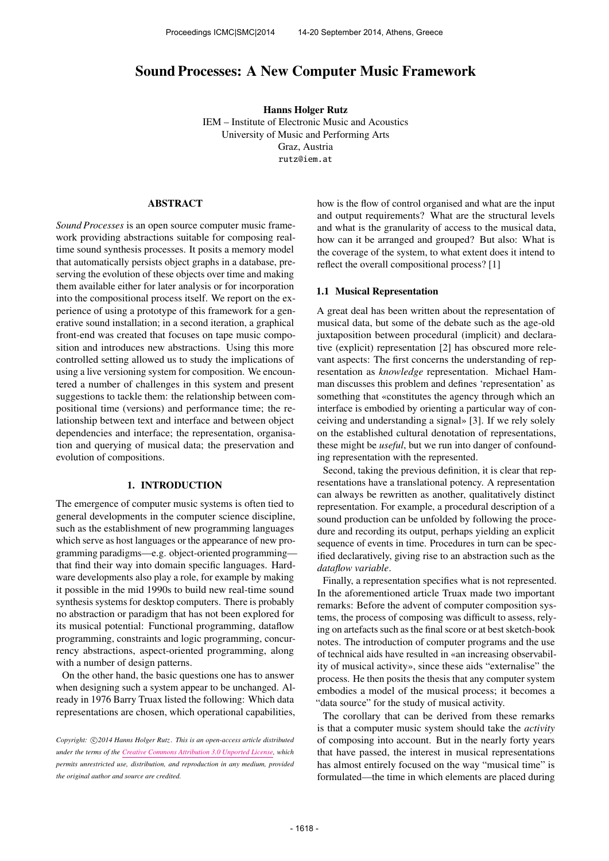# Sound Processes: A New Computer Music Framework

Hanns Holger Rutz IEM – Institute of Electronic Music and Acoustics University of Music and Performing Arts Graz, Austria [rutz@iem.at](mailto:rutz@iem.at)

#### ABSTRACT

*Sound Processes* is an open source computer music framework providing abstractions suitable for composing realtime sound synthesis processes. It posits a memory model that automatically persists object graphs in a database, preserving the evolution of these objects over time and making them available either for later analysis or for incorporation into the compositional process itself. We report on the experience of using a prototype of this framework for a generative sound installation; in a second iteration, a graphical front-end was created that focuses on tape music composition and introduces new abstractions. Using this more controlled setting allowed us to study the implications of using a live versioning system for composition. We encountered a number of challenges in this system and present suggestions to tackle them: the relationship between compositional time (versions) and performance time; the relationship between text and interface and between object dependencies and interface; the representation, organisation and querying of musical data; the preservation and evolution of compositions.

## 1. INTRODUCTION

The emergence of computer music systems is often tied to general developments in the computer science discipline, such as the establishment of new programming languages which serve as host languages or the appearance of new programming paradigms—e.g. object-oriented programming that find their way into domain specific languages. Hardware developments also play a role, for example by making it possible in the mid 1990s to build new real-time sound synthesis systems for desktop computers. There is probably no abstraction or paradigm that has not been explored for its musical potential: Functional programming, dataflow programming, constraints and logic programming, concurrency abstractions, aspect-oriented programming, along with a number of design patterns.

On the other hand, the basic questions one has to answer when designing such a system appear to be unchanged. Already in 1976 Barry Truax listed the following: Which data representations are chosen, which operational capabilities,

how is the flow of control organised and what are the input and output requirements? What are the structural levels and what is the granularity of access to the musical data, how can it be arranged and grouped? But also: What is the coverage of the system, to what extent does it intend to reflect the overall compositional process? [1]

### 1.1 Musical Representation

A great deal has been written about the representation of musical data, but some of the debate such as the age-old juxtaposition between procedural (implicit) and declarative (explicit) representation [2] has obscured more relevant aspects: The first concerns the understanding of representation as *knowledge* representation. Michael Hamman discusses this problem and defines 'representation' as something that «constitutes the agency through which an interface is embodied by orienting a particular way of conceiving and understanding a signal» [3]. If we rely solely on the established cultural denotation of representations, these might be *useful*, but we run into danger of confounding representation with the represented.

Second, taking the previous definition, it is clear that representations have a translational potency. A representation can always be rewritten as another, qualitatively distinct representation. For example, a procedural description of a sound production can be unfolded by following the procedure and recording its output, perhaps yielding an explicit sequence of events in time. Procedures in turn can be specified declaratively, giving rise to an abstraction such as the *dataflow variable*.

Finally, a representation specifies what is not represented. In the aforementioned article Truax made two important remarks: Before the advent of computer composition systems, the process of composing was difficult to assess, relying on artefacts such as the final score or at best sketch-book notes. The introduction of computer programs and the use of technical aids have resulted in «an increasing observability of musical activity», since these aids "externalise" the process. He then posits the thesis that any computer system embodies a model of the musical process; it becomes a "data source" for the study of musical activity.

The corollary that can be derived from these remarks is that a computer music system should take the *activity* of composing into account. But in the nearly forty years that have passed, the interest in musical representations has almost entirely focused on the way "musical time" is formulated—the time in which elements are placed during

Copyright:  $\bigcirc$ 2014 Hanns Holger Rutz. This is an open-access article distributed *under the terms of the [Creative Commons Attribution 3.0 Unported License,](http://creativecommons.org/licenses/by/3.0/) which permits unrestricted use, distribution, and reproduction in any medium, provided the original author and source are credited.*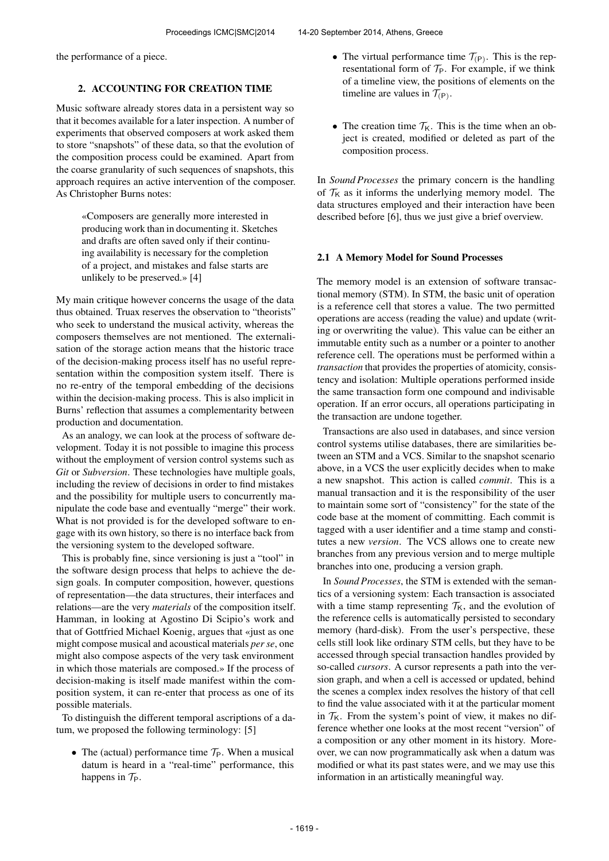the performance of a piece.

# 2. ACCOUNTING FOR CREATION TIME

Music software already stores data in a persistent way so that it becomes available for a later inspection. A number of experiments that observed composers at work asked them to store "snapshots" of these data, so that the evolution of the composition process could be examined. Apart from the coarse granularity of such sequences of snapshots, this approach requires an active intervention of the composer. As Christopher Burns notes:

> «Composers are generally more interested in producing work than in documenting it. Sketches and drafts are often saved only if their continuing availability is necessary for the completion of a project, and mistakes and false starts are unlikely to be preserved.» [4]

My main critique however concerns the usage of the data thus obtained. Truax reserves the observation to "theorists" who seek to understand the musical activity, whereas the composers themselves are not mentioned. The externalisation of the storage action means that the historic trace of the decision-making process itself has no useful representation within the composition system itself. There is no re-entry of the temporal embedding of the decisions within the decision-making process. This is also implicit in Burns' reflection that assumes a complementarity between production and documentation.

As an analogy, we can look at the process of software development. Today it is not possible to imagine this process without the employment of version control systems such as *Git* or *Subversion*. These technologies have multiple goals, including the review of decisions in order to find mistakes and the possibility for multiple users to concurrently manipulate the code base and eventually "merge" their work. What is not provided is for the developed software to engage with its own history, so there is no interface back from the versioning system to the developed software.

This is probably fine, since versioning is just a "tool" in the software design process that helps to achieve the design goals. In computer composition, however, questions of representation—the data structures, their interfaces and relations—are the very *materials* of the composition itself. Hamman, in looking at Agostino Di Scipio's work and that of Gottfried Michael Koenig, argues that «just as one might compose musical and acoustical materials *per se*, one might also compose aspects of the very task environment in which those materials are composed.» If the process of decision-making is itself made manifest within the composition system, it can re-enter that process as one of its possible materials.

To distinguish the different temporal ascriptions of a datum, we proposed the following terminology: [5]

• The (actual) performance time  $\mathcal{T}_P$ . When a musical datum is heard in a "real-time" performance, this happens in  $\mathcal{T}_P$ .

- The virtual performance time  $T_{(P)}$ . This is the representational form of  $\mathcal{T}_P$ . For example, if we think of a timeline view, the positions of elements on the timeline are values in  $\mathcal{T}_{(P)}$ .
- The creation time  $T_K$ . This is the time when an object is created, modified or deleted as part of the composition process.

In *Sound Processes* the primary concern is the handling of  $\mathcal{T}_K$  as it informs the underlying memory model. The data structures employed and their interaction have been described before [6], thus we just give a brief overview.

# 2.1 A Memory Model for Sound Processes

The memory model is an extension of software transactional memory (STM). In STM, the basic unit of operation is a reference cell that stores a value. The two permitted operations are access (reading the value) and update (writing or overwriting the value). This value can be either an immutable entity such as a number or a pointer to another reference cell. The operations must be performed within a *transaction* that provides the properties of atomicity, consistency and isolation: Multiple operations performed inside the same transaction form one compound and indivisable operation. If an error occurs, all operations participating in the transaction are undone together.

Transactions are also used in databases, and since version control systems utilise databases, there are similarities between an STM and a VCS. Similar to the snapshot scenario above, in a VCS the user explicitly decides when to make a new snapshot. This action is called *commit*. This is a manual transaction and it is the responsibility of the user to maintain some sort of "consistency" for the state of the code base at the moment of committing. Each commit is tagged with a user identifier and a time stamp and constitutes a new *version*. The VCS allows one to create new branches from any previous version and to merge multiple branches into one, producing a version graph.

In *Sound Processes*, the STM is extended with the semantics of a versioning system: Each transaction is associated with a time stamp representing  $\mathcal{T}_{K}$ , and the evolution of the reference cells is automatically persisted to secondary memory (hard-disk). From the user's perspective, these cells still look like ordinary STM cells, but they have to be accessed through special transaction handles provided by so-called *cursors*. A cursor represents a path into the version graph, and when a cell is accessed or updated, behind the scenes a complex index resolves the history of that cell to find the value associated with it at the particular moment in  $T_K$ . From the system's point of view, it makes no difference whether one looks at the most recent "version" of a composition or any other moment in its history. Moreover, we can now programmatically ask when a datum was modified or what its past states were, and we may use this information in an artistically meaningful way.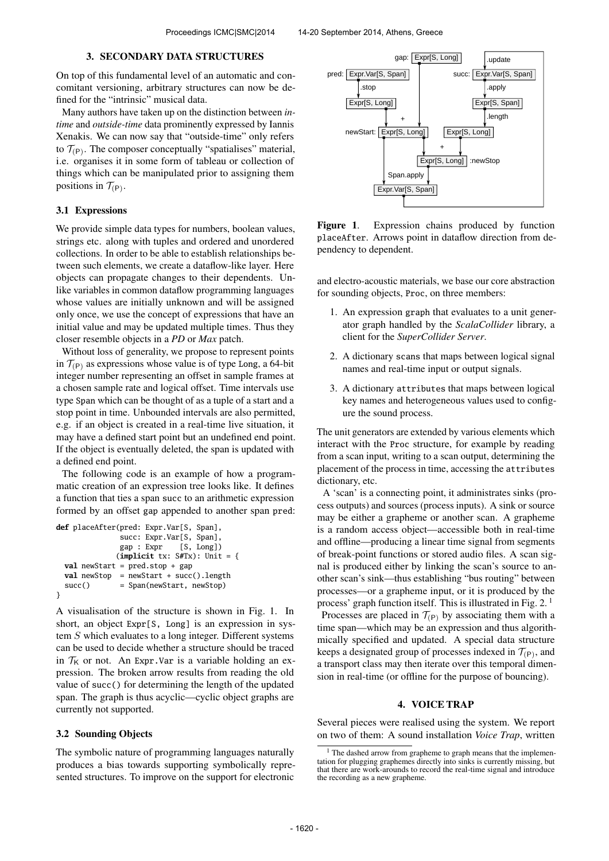#### 3. SECONDARY DATA STRUCTURES

On top of this fundamental level of an automatic and concomitant versioning, arbitrary structures can now be defined for the "intrinsic" musical data.

Many authors have taken up on the distinction between *intime* and *outside-time* data prominently expressed by Iannis Xenakis. We can now say that "outside-time" only refers to  $T_{(P)}$ . The composer conceptually "spatialises" material, i.e. organises it in some form of tableau or collection of things which can be manipulated prior to assigning them positions in  $\mathcal{T}_{(P)}$ .

#### 3.1 Expressions

We provide simple data types for numbers, boolean values, strings etc. along with tuples and ordered and unordered collections. In order to be able to establish relationships between such elements, we create a dataflow-like layer. Here objects can propagate changes to their dependents. Unlike variables in common dataflow programming languages whose values are initially unknown and will be assigned only once, we use the concept of expressions that have an initial value and may be updated multiple times. Thus they closer resemble objects in a *PD* or *Max* patch.

Without loss of generality, we propose to represent points in  $\mathcal{T}_{(P)}$  as expressions whose value is of type Long, a 64-bit integer number representing an offset in sample frames at a chosen sample rate and logical offset. Time intervals use type Span which can be thought of as a tuple of a start and a stop point in time. Unbounded intervals are also permitted, e.g. if an object is created in a real-time live situation, it may have a defined start point but an undefined end point. If the object is eventually deleted, the span is updated with a defined end point.

The following code is an example of how a programmatic creation of an expression tree looks like. It defines a function that ties a span succ to an arithmetic expression formed by an offset gap appended to another span pred:

```
def placeAfter(pred: Expr.Var[S, Span],
              succ: Expr.Var[S, Span],
              gap : Expr [S, Long])
             (implicit tx: S#Tx): Unit = {
 val newStart = pred.stop + gap
 val newStop = newStart + succ().length
 succ() = Span(newStart, newStop)
}
```
A visualisation of the structure is shown in Fig. 1. In short, an object Expr[S, Long] is an expression in system S which evaluates to a long integer. Different systems can be used to decide whether a structure should be traced in  $\mathcal{T}_K$  or not. An Expr. Var is a variable holding an expression. The broken arrow results from reading the old value of succ() for determining the length of the updated span. The graph is thus acyclic—cyclic object graphs are currently not supported.

### 3.2 Sounding Objects

The symbolic nature of programming languages naturally produces a bias towards supporting symbolically represented structures. To improve on the support for electronic



Figure 1. Expression chains produced by function placeAfter. Arrows point in dataflow direction from dependency to dependent.

and electro-acoustic materials, we base our core abstraction for sounding objects, Proc, on three members:

- 1. An expression graph that evaluates to a unit generator graph handled by the *ScalaCollider* library, a client for the *SuperCollider Server*.
- 2. A dictionary scans that maps between logical signal names and real-time input or output signals.
- 3. A dictionary attributes that maps between logical key names and heterogeneous values used to configure the sound process.

The unit generators are extended by various elements which interact with the Proc structure, for example by reading from a scan input, writing to a scan output, determining the placement of the process in time, accessing the attributes dictionary, etc.

A 'scan' is a connecting point, it administrates sinks (process outputs) and sources (process inputs). A sink or source may be either a grapheme or another scan. A grapheme is a random access object—accessible both in real-time and offline—producing a linear time signal from segments of break-point functions or stored audio files. A scan signal is produced either by linking the scan's source to another scan's sink—thus establishing "bus routing" between processes—or a grapheme input, or it is produced by the process' graph function itself. This is illustrated in Fig.  $2<sup>1</sup>$ 

Processes are placed in  $T_{(P)}$  by associating them with a time span—which may be an expression and thus algorithmically specified and updated. A special data structure keeps a designated group of processes indexed in  $\mathcal{T}_{(P)}$ , and a transport class may then iterate over this temporal dimension in real-time (or offline for the purpose of bouncing).

### 4. VOICE TRAP

Several pieces were realised using the system. We report on two of them: A sound installation *Voice Trap*, written

 $<sup>1</sup>$  The dashed arrow from grapheme to graph means that the implemen-</sup> tation for plugging graphemes directly into sinks is currently missing, but that there are work-arounds to record the real-time signal and introduce the recording as a new grapheme.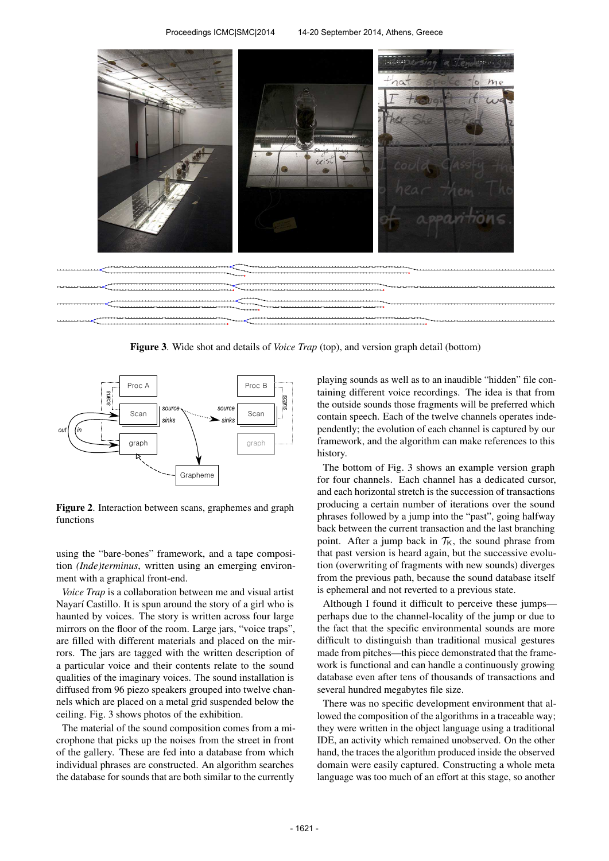

Figure 3. Wide shot and details of *Voice Trap* (top), and version graph detail (bottom)



Figure 2. Interaction between scans, graphemes and graph functions

using the "bare-bones" framework, and a tape composition *(Inde)terminus*, written using an emerging environment with a graphical front-end.

*Voice Trap* is a collaboration between me and visual artist Nayarí Castillo. It is spun around the story of a girl who is haunted by voices. The story is written across four large mirrors on the floor of the room. Large jars, "voice traps", are filled with different materials and placed on the mirrors. The jars are tagged with the written description of a particular voice and their contents relate to the sound qualities of the imaginary voices. The sound installation is diffused from 96 piezo speakers grouped into twelve channels which are placed on a metal grid suspended below the ceiling. Fig. 3 shows photos of the exhibition.

The material of the sound composition comes from a microphone that picks up the noises from the street in front of the gallery. These are fed into a database from which individual phrases are constructed. An algorithm searches the database for sounds that are both similar to the currently

playing sounds as well as to an inaudible "hidden" file containing different voice recordings. The idea is that from the outside sounds those fragments will be preferred which contain speech. Each of the twelve channels operates independently; the evolution of each channel is captured by our framework, and the algorithm can make references to this history.

The bottom of Fig. 3 shows an example version graph for four channels. Each channel has a dedicated cursor, and each horizontal stretch is the succession of transactions producing a certain number of iterations over the sound phrases followed by a jump into the "past", going halfway back between the current transaction and the last branching point. After a jump back in  $T_K$ , the sound phrase from that past version is heard again, but the successive evolution (overwriting of fragments with new sounds) diverges from the previous path, because the sound database itself is ephemeral and not reverted to a previous state.

Although I found it difficult to perceive these jumps perhaps due to the channel-locality of the jump or due to the fact that the specific environmental sounds are more difficult to distinguish than traditional musical gestures made from pitches—this piece demonstrated that the framework is functional and can handle a continuously growing database even after tens of thousands of transactions and several hundred megabytes file size.

There was no specific development environment that allowed the composition of the algorithms in a traceable way; they were written in the object language using a traditional IDE, an activity which remained unobserved. On the other hand, the traces the algorithm produced inside the observed domain were easily captured. Constructing a whole meta language was too much of an effort at this stage, so another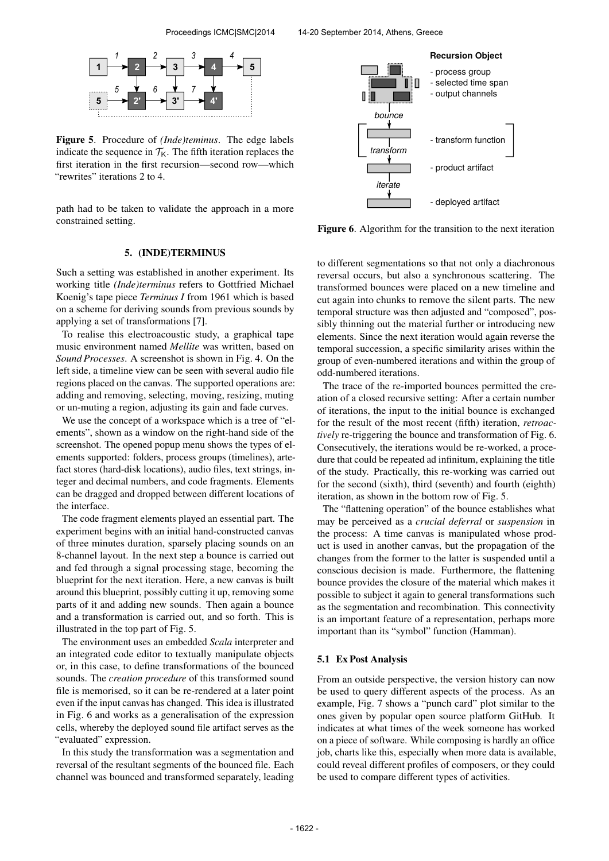

Figure 5. Procedure of *(Inde)teminus*. The edge labels indicate the sequence in  $T_K$ . The fifth iteration replaces the first iteration in the first recursion—second row—which "rewrites" iterations 2 to 4.

path had to be taken to validate the approach in a more constrained setting.

## 5. (INDE)TERMINUS

Such a setting was established in another experiment. Its working title *(Inde)terminus* refers to Gottfried Michael Koenig's tape piece *Terminus I* from 1961 which is based on a scheme for deriving sounds from previous sounds by applying a set of transformations [7].

To realise this electroacoustic study, a graphical tape music environment named *Mellite* was written, based on *Sound Processes*. A screenshot is shown in Fig. 4. On the left side, a timeline view can be seen with several audio file regions placed on the canvas. The supported operations are: adding and removing, selecting, moving, resizing, muting or un-muting a region, adjusting its gain and fade curves.

We use the concept of a workspace which is a tree of "elements", shown as a window on the right-hand side of the screenshot. The opened popup menu shows the types of elements supported: folders, process groups (timelines), artefact stores (hard-disk locations), audio files, text strings, integer and decimal numbers, and code fragments. Elements can be dragged and dropped between different locations of the interface.

The code fragment elements played an essential part. The experiment begins with an initial hand-constructed canvas of three minutes duration, sparsely placing sounds on an 8-channel layout. In the next step a bounce is carried out and fed through a signal processing stage, becoming the blueprint for the next iteration. Here, a new canvas is built around this blueprint, possibly cutting it up, removing some parts of it and adding new sounds. Then again a bounce and a transformation is carried out, and so forth. This is illustrated in the top part of Fig. 5.

The environment uses an embedded *Scala* interpreter and an integrated code editor to textually manipulate objects or, in this case, to define transformations of the bounced sounds. The *creation procedure* of this transformed sound file is memorised, so it can be re-rendered at a later point even if the input canvas has changed. This idea is illustrated in Fig. 6 and works as a generalisation of the expression cells, whereby the deployed sound file artifact serves as the "evaluated" expression.

In this study the transformation was a segmentation and reversal of the resultant segments of the bounced file. Each channel was bounced and transformed separately, leading



Figure 6. Algorithm for the transition to the next iteration

to different segmentations so that not only a diachronous reversal occurs, but also a synchronous scattering. The transformed bounces were placed on a new timeline and cut again into chunks to remove the silent parts. The new temporal structure was then adjusted and "composed", possibly thinning out the material further or introducing new elements. Since the next iteration would again reverse the temporal succession, a specific similarity arises within the group of even-numbered iterations and within the group of odd-numbered iterations.

The trace of the re-imported bounces permitted the creation of a closed recursive setting: After a certain number of iterations, the input to the initial bounce is exchanged for the result of the most recent (fifth) iteration, *retroactively* re-triggering the bounce and transformation of Fig. 6. Consecutively, the iterations would be re-worked, a procedure that could be repeated ad infinitum, explaining the title of the study. Practically, this re-working was carried out for the second (sixth), third (seventh) and fourth (eighth) iteration, as shown in the bottom row of Fig. 5.

The "flattening operation" of the bounce establishes what may be perceived as a *crucial deferral* or *suspension* in the process: A time canvas is manipulated whose product is used in another canvas, but the propagation of the changes from the former to the latter is suspended until a conscious decision is made. Furthermore, the flattening bounce provides the closure of the material which makes it possible to subject it again to general transformations such as the segmentation and recombination. This connectivity is an important feature of a representation, perhaps more important than its "symbol" function (Hamman).

#### 5.1 Ex Post Analysis

From an outside perspective, the version history can now be used to query different aspects of the process. As an example, Fig. 7 shows a "punch card" plot similar to the ones given by popular open source platform GitHub. It indicates at what times of the week someone has worked on a piece of software. While composing is hardly an office job, charts like this, especially when more data is available, could reveal different profiles of composers, or they could be used to compare different types of activities.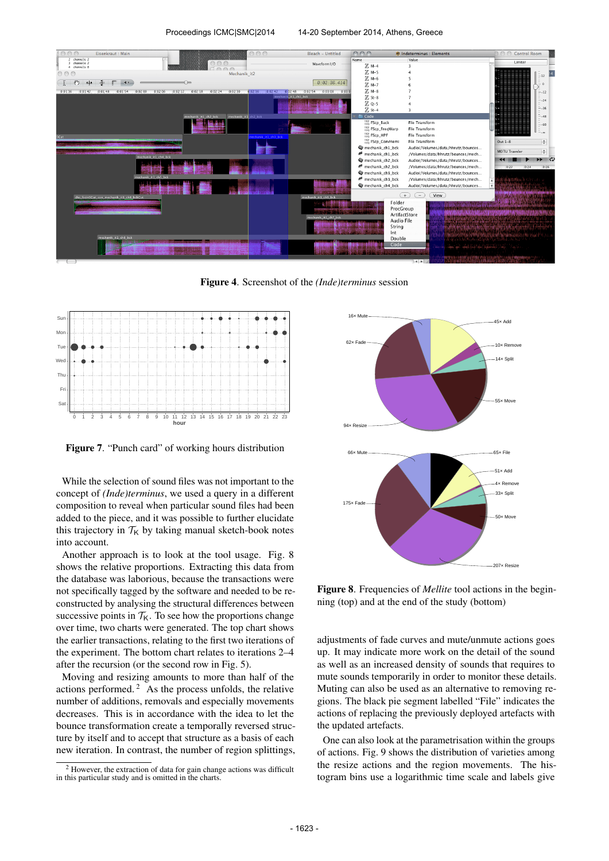

Figure 4. Screenshot of the *(Inde)terminus* session



Figure 7. "Punch card" of working hours distribution

While the selection of sound files was not important to the concept of *(Inde)terminus*, we used a query in a different composition to reveal when particular sound files had been added to the piece, and it was possible to further elucidate this trajectory in  $T_K$  by taking manual sketch-book notes into account.

Another approach is to look at the tool usage. Fig. 8 shows the relative proportions. Extracting this data from the database was laborious, because the transactions were not specifically tagged by the software and needed to be reconstructed by analysing the structural differences between successive points in  $T<sub>K</sub>$ . To see how the proportions change over time, two charts were generated. The top chart shows the earlier transactions, relating to the first two iterations of the experiment. The bottom chart relates to iterations 2–4 after the recursion (or the second row in Fig. 5).

Moving and resizing amounts to more than half of the actions performed. <sup>2</sup> As the process unfolds, the relative number of additions, removals and especially movements decreases. This is in accordance with the idea to let the bounce transformation create a temporally reversed structure by itself and to accept that structure as a basis of each new iteration. In contrast, the number of region splittings,



Figure 8. Frequencies of *Mellite* tool actions in the beginning (top) and at the end of the study (bottom)

adjustments of fade curves and mute/unmute actions goes up. It may indicate more work on the detail of the sound as well as an increased density of sounds that requires to mute sounds temporarily in order to monitor these details. Muting can also be used as an alternative to removing regions. The black pie segment labelled "File" indicates the actions of replacing the previously deployed artefacts with the updated artefacts.

One can also look at the parametrisation within the groups of actions. Fig. 9 shows the distribution of varieties among the resize actions and the region movements. The histogram bins use a logarithmic time scale and labels give

<sup>2</sup> However, the extraction of data for gain change actions was difficult in this particular study and is omitted in the charts.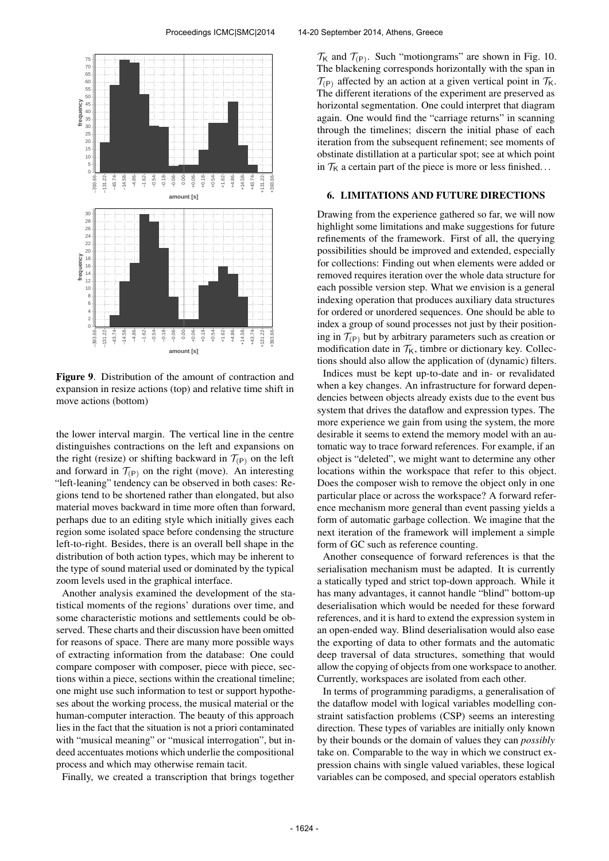

Figure 9. Distribution of the amount of contraction and expansion in resize actions (top) and relative time shift in move actions (bottom)

the lower interval margin. The vertical line in the centre distinguishes contractions on the left and expansions on the right (resize) or shifting backward in  $\mathcal{T}_{(P)}$  on the left and forward in  $\mathcal{T}_{(P)}$  on the right (move). An interesting "left-leaning" tendency can be observed in both cases: Regions tend to be shortened rather than elongated, but also material moves backward in time more often than forward, perhaps due to an editing style which initially gives each region some isolated space before condensing the structure left-to-right. Besides, there is an overall bell shape in the distribution of both action types, which may be inherent to the type of sound material used or dominated by the typical zoom levels used in the graphical interface.

Another analysis examined the development of the statistical moments of the regions' durations over time, and some characteristic motions and settlements could be observed. These charts and their discussion have been omitted for reasons of space. There are many more possible ways of extracting information from the database: One could compare composer with composer, piece with piece, sections within a piece, sections within the creational timeline; one might use such information to test or support hypotheses about the working process, the musical material or the human-computer interaction. The beauty of this approach lies in the fact that the situation is not a priori contaminated with "musical meaning" or "musical interrogation", but indeed accentuates motions which underlie the compositional process and which may otherwise remain tacit.

Finally, we created a transcription that brings together

 $\mathcal{T}_{\mathsf{K}}$  and  $\mathcal{T}_{(\mathsf{P})}$ . Such "motiongrams" are shown in Fig. 10. The blackening corresponds horizontally with the span in  $\mathcal{T}_{(P)}$  affected by an action at a given vertical point in  $\mathcal{T}_{K}$ . The different iterations of the experiment are preserved as horizontal segmentation. One could interpret that diagram again. One would find the "carriage returns" in scanning through the timelines; discern the initial phase of each iteration from the subsequent refinement; see moments of obstinate distillation at a particular spot; see at which point in  $T_K$  a certain part of the piece is more or less finished...

## 6. LIMITATIONS AND FUTURE DIRECTIONS

Drawing from the experience gathered so far, we will now highlight some limitations and make suggestions for future refinements of the framework. First of all, the querying possibilities should be improved and extended, especially for collections: Finding out when elements were added or removed requires iteration over the whole data structure for each possible version step. What we envision is a general indexing operation that produces auxiliary data structures for ordered or unordered sequences. One should be able to index a group of sound processes not just by their positioning in  $\mathcal{T}_{(P)}$  but by arbitrary parameters such as creation or modification date in  $T_K$ , timbre or dictionary key. Collections should also allow the application of (dynamic) filters.

Indices must be kept up-to-date and in- or revalidated when a key changes. An infrastructure for forward dependencies between objects already exists due to the event bus system that drives the dataflow and expression types. The more experience we gain from using the system, the more desirable it seems to extend the memory model with an automatic way to trace forward references. For example, if an object is "deleted", we might want to determine any other locations within the workspace that refer to this object. Does the composer wish to remove the object only in one particular place or across the workspace? A forward reference mechanism more general than event passing yields a form of automatic garbage collection. We imagine that the next iteration of the framework will implement a simple form of GC such as reference counting.

Another consequence of forward references is that the serialisation mechanism must be adapted. It is currently a statically typed and strict top-down approach. While it has many advantages, it cannot handle "blind" bottom-up deserialisation which would be needed for these forward references, and it is hard to extend the expression system in an open-ended way. Blind deserialisation would also ease the exporting of data to other formats and the automatic deep traversal of data structures, something that would allow the copying of objects from one workspace to another. Currently, workspaces are isolated from each other.

In terms of programming paradigms, a generalisation of the dataflow model with logical variables modelling constraint satisfaction problems (CSP) seems an interesting direction. These types of variables are initially only known by their bounds or the domain of values they can *possibly* take on. Comparable to the way in which we construct expression chains with single valued variables, these logical variables can be composed, and special operators establish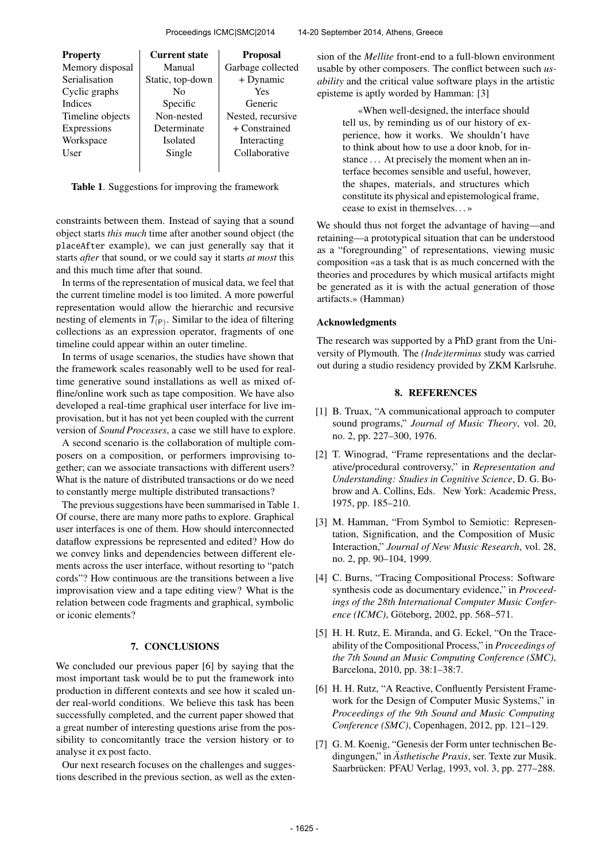| <b>Property</b>  | <b>Current state</b> | <b>Proposal</b>   |
|------------------|----------------------|-------------------|
| Memory disposal  | Manual               | Garbage collected |
| Serialisation    | Static, top-down     | + Dynamic         |
| Cyclic graphs    | $\rm No$             | Yes               |
| <b>Indices</b>   | Specific             | Generic           |
| Timeline objects | Non-nested           | Nested, recursive |
| Expressions      | Determinate          | + Constrained     |
| Workspace        | <b>Isolated</b>      | Interacting       |
| User             | Single               | Collaborative     |
|                  |                      |                   |

Table 1. Suggestions for improving the framework

constraints between them. Instead of saying that a sound object starts *this much* time after another sound object (the placeAfter example), we can just generally say that it starts *after* that sound, or we could say it starts *at most* this and this much time after that sound.

In terms of the representation of musical data, we feel that the current timeline model is too limited. A more powerful representation would allow the hierarchic and recursive nesting of elements in  $T_{(P)}$ . Similar to the idea of filtering collections as an expression operator, fragments of one timeline could appear within an outer timeline.

In terms of usage scenarios, the studies have shown that the framework scales reasonably well to be used for realtime generative sound installations as well as mixed offline/online work such as tape composition. We have also developed a real-time graphical user interface for live improvisation, but it has not yet been coupled with the current version of *Sound Processes*, a case we still have to explore.

A second scenario is the collaboration of multiple composers on a composition, or performers improvising together; can we associate transactions with different users? What is the nature of distributed transactions or do we need to constantly merge multiple distributed transactions?

The previous suggestions have been summarised in Table 1. Of course, there are many more paths to explore. Graphical user interfaces is one of them. How should interconnected dataflow expressions be represented and edited? How do we convey links and dependencies between different elements across the user interface, without resorting to "patch cords"? How continuous are the transitions between a live improvisation view and a tape editing view? What is the relation between code fragments and graphical, symbolic or iconic elements?

## 7. CONCLUSIONS

We concluded our previous paper [6] by saying that the most important task would be to put the framework into production in different contexts and see how it scaled under real-world conditions. We believe this task has been successfully completed, and the current paper showed that a great number of interesting questions arise from the possibility to concomitantly trace the version history or to analyse it ex post facto.

Our next research focuses on the challenges and suggestions described in the previous section, as well as the extension of the *Mellite* front-end to a full-blown environment usable by other composers. The conflict between such *usability* and the critical value software plays in the artistic episteme is aptly worded by Hamman: [3]

> «When well-designed, the interface should tell us, by reminding us of our history of experience, how it works. We shouldn't have to think about how to use a door knob, for instance ... At precisely the moment when an interface becomes sensible and useful, however, the shapes, materials, and structures which constitute its physical and epistemological frame, cease to exist in themselves. . . »

We should thus not forget the advantage of having—and retaining—a prototypical situation that can be understood as a "foregrounding" of representations, viewing music composition «as a task that is as much concerned with the theories and procedures by which musical artifacts might be generated as it is with the actual generation of those artifacts.» (Hamman)

#### Acknowledgments

The research was supported by a PhD grant from the University of Plymouth. The *(Inde)terminus* study was carried out during a studio residency provided by ZKM Karlsruhe.

### 8. REFERENCES

- [1] B. Truax, "A communicational approach to computer sound programs," *Journal of Music Theory*, vol. 20, no. 2, pp. 227–300, 1976.
- [2] T. Winograd, "Frame representations and the declarative/procedural controversy," in *Representation and Understanding: Studies in Cognitive Science*, D. G. Bobrow and A. Collins, Eds. New York: Academic Press, 1975, pp. 185–210.
- [3] M. Hamman, "From Symbol to Semiotic: Representation, Signification, and the Composition of Music Interaction," *Journal of New Music Research*, vol. 28, no. 2, pp. 90–104, 1999.
- [4] C. Burns, "Tracing Compositional Process: Software synthesis code as documentary evidence," in *Proceedings of the 28th International Computer Music Conference (ICMC)*, Göteborg, 2002, pp. 568–571.
- [5] H. H. Rutz, E. Miranda, and G. Eckel, "On the Traceability of the Compositional Process," in *Proceedings of the 7th Sound an Music Computing Conference (SMC)*, Barcelona, 2010, pp. 38:1–38:7.
- [6] H. H. Rutz, "A Reactive, Confluently Persistent Framework for the Design of Computer Music Systems," in *Proceedings of the 9th Sound and Music Computing Conference (SMC)*, Copenhagen, 2012, pp. 121–129.
- [7] G. M. Koenig, "Genesis der Form unter technischen Bedingungen," in *Ästhetische Praxis*, ser. Texte zur Musik. Saarbrücken: PFAU Verlag, 1993, vol. 3, pp. 277–288.